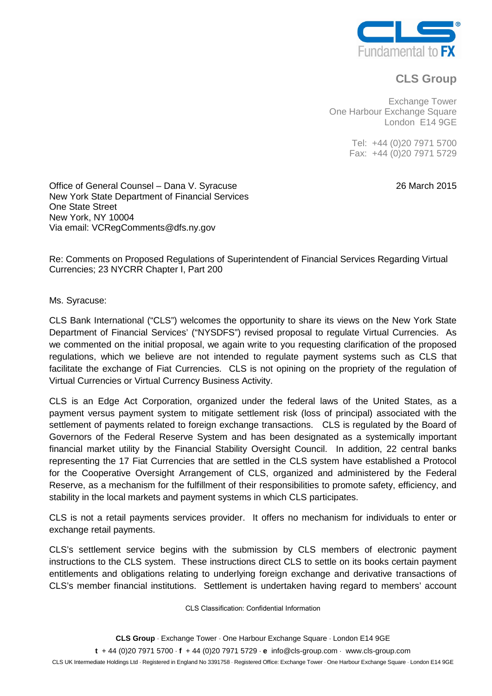

## **CLS Group**

Exchange Tower One Harbour Exchange Square London E14 9GE

> Tel: +44 (0)20 7971 5700 Fax: +44 (0)20 7971 5729

> > 26 March 2015

Office of General Counsel – Dana V. Syracuse New York State Department of Financial Services One State Street New York, NY 10004 Via email: VCRegComments@dfs.ny.gov

Re: Comments on Proposed Regulations of Superintendent of Financial Services Regarding Virtual Currencies; 23 NYCRR Chapter I, Part 200

Ms. Syracuse:

CLS Bank International ("CLS") welcomes the opportunity to share its views on the New York State Department of Financial Services' ("NYSDFS") revised proposal to regulate Virtual Currencies. As we commented on the initial proposal, we again write to you requesting clarification of the proposed regulations, which we believe are not intended to regulate payment systems such as CLS that facilitate the exchange of Fiat Currencies. CLS is not opining on the propriety of the regulation of Virtual Currencies or Virtual Currency Business Activity.

CLS is an Edge Act Corporation, organized under the federal laws of the United States, as a payment versus payment system to mitigate settlement risk (loss of principal) associated with the settlement of payments related to foreign exchange transactions. CLS is regulated by the Board of Governors of the Federal Reserve System and has been designated as a systemically important financial market utility by the Financial Stability Oversight Council. In addition, 22 central banks representing the 17 Fiat Currencies that are settled in the CLS system have established a Protocol for the Cooperative Oversight Arrangement of CLS, organized and administered by the Federal Reserve, as a mechanism for the fulfillment of their responsibilities to promote safety, efficiency, and stability in the local markets and payment systems in which CLS participates.

CLS is not a retail payments services provider. It offers no mechanism for individuals to enter or exchange retail payments.

CLS's settlement service begins with the submission by CLS members of electronic payment instructions to the CLS system. These instructions direct CLS to settle on its books certain payment entitlements and obligations relating to underlying foreign exchange and derivative transactions of CLS's member financial institutions. Settlement is undertaken having regard to members' account

CLS Classification: Confidential Information

**CLS Group** ⋅ Exchange Tower ⋅ One Harbour Exchange Square ⋅ London E14 9GE

**t** + 44 (0)20 7971 5700 ⋅ **f** + 44 (0)20 7971 5729 ⋅ **e** info@cls-group.com ⋅ [www.cls-group.com](http://www.cls-group.com/)

CLS UK Intermediate Holdings Ltd ⋅ Registered in England No 3391758 ⋅ Registered Office: Exchange Tower ⋅ One Harbour Exchange Square ⋅ London E14 9GE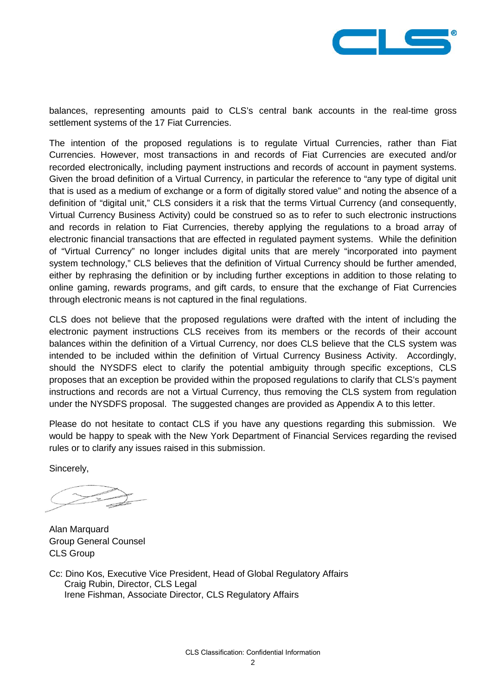

balances, representing amounts paid to CLS's central bank accounts in the real-time gross settlement systems of the 17 Fiat Currencies.

The intention of the proposed regulations is to regulate Virtual Currencies, rather than Fiat Currencies. However, most transactions in and records of Fiat Currencies are executed and/or recorded electronically, including payment instructions and records of account in payment systems. Given the broad definition of a Virtual Currency, in particular the reference to "any type of digital unit that is used as a medium of exchange or a form of digitally stored value" and noting the absence of a definition of "digital unit," CLS considers it a risk that the terms Virtual Currency (and consequently, Virtual Currency Business Activity) could be construed so as to refer to such electronic instructions and records in relation to Fiat Currencies, thereby applying the regulations to a broad array of electronic financial transactions that are effected in regulated payment systems. While the definition of "Virtual Currency" no longer includes digital units that are merely "incorporated into payment system technology," CLS believes that the definition of Virtual Currency should be further amended, either by rephrasing the definition or by including further exceptions in addition to those relating to online gaming, rewards programs, and gift cards, to ensure that the exchange of Fiat Currencies through electronic means is not captured in the final regulations.

CLS does not believe that the proposed regulations were drafted with the intent of including the electronic payment instructions CLS receives from its members or the records of their account balances within the definition of a Virtual Currency, nor does CLS believe that the CLS system was intended to be included within the definition of Virtual Currency Business Activity. Accordingly, should the NYSDFS elect to clarify the potential ambiguity through specific exceptions, CLS proposes that an exception be provided within the proposed regulations to clarify that CLS's payment instructions and records are not a Virtual Currency, thus removing the CLS system from regulation under the NYSDFS proposal. The suggested changes are provided as Appendix A to this letter.

Please do not hesitate to contact CLS if you have any questions regarding this submission. We would be happy to speak with the New York Department of Financial Services regarding the revised rules or to clarify any issues raised in this submission.

Sincerely,

Alan Marquard Group General Counsel CLS Group

Cc: Dino Kos, Executive Vice President, Head of Global Regulatory Affairs Craig Rubin, Director, CLS Legal Irene Fishman, Associate Director, CLS Regulatory Affairs